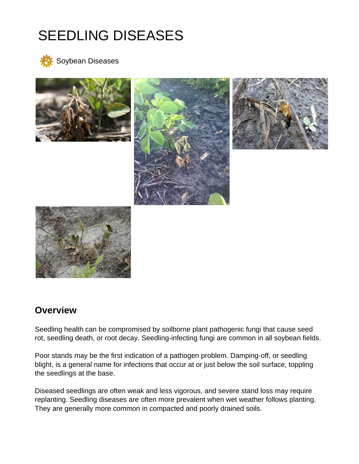# SEEDLING DISEASES



Soybean Diseases



# **Overview**

Seedling health can be compromised by soilborne plant pathogenic fungi that cause seed rot, seedling death, or root decay. Seedling-infecting fungi are common in all soybean fields.

Poor stands may be the first indication of a pathogen problem. Damping-off, or seedling blight, is a general name for infections that occur at or just below the soil surface, toppling the seedlings at the base.

Diseased seedlings are often weak and less vigorous, and severe stand loss may require replanting. Seedling diseases are often more prevalent when wet weather follows planting. They are generally more common in compacted and poorly drained soils.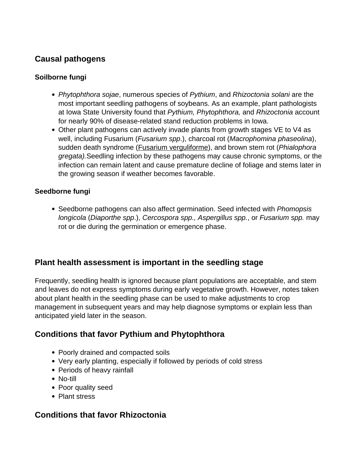# **Causal pathogens**

### **Soilborne fungi**

- Phytophthora sojae, numerous species of Pythium, and Rhizoctonia solani are the most important seedling pathogens of soybeans. As an example, plant pathologists at Iowa State University found that Pythium, Phytophthora, and Rhizoctonia account for nearly 90% of disease-related stand reduction problems in Iowa.
- Other plant pathogens can actively invade plants from growth stages VE to V4 as well, including Fusarium (*Fusarium spp.*), charcoal rot (*Macrophomina phaseolina*), sudden death syndrome (**Fusarium verguliforme**), and brown stem rot (*Phialophora* gregata).Seedling infection by these pathogens may cause chronic symptoms, or the infection can remain latent and cause premature decline of foliage and stems later in the growing season if weather becomes favorable.

### **Seedborne fungi**

• Seedborne pathogens can also affect germination. Seed infected with *Phomopsis* longicola (Diaporthe spp.), Cercospora spp., Aspergillus spp., or Fusarium spp. may rot or die during the germination or emergence phase.

## **Plant health assessment is important in the seedling stage**

Frequently, seedling health is ignored because plant populations are acceptable, and stem and leaves do not express symptoms during early vegetative growth. However, notes taken about plant health in the seedling phase can be used to make adjustments to crop management in subsequent years and may help diagnose symptoms or explain less than anticipated yield later in the season.

# **Conditions that favor Pythium and Phytophthora**

- Poorly drained and compacted soils
- Very early planting, especially if followed by periods of cold stress
- Periods of heavy rainfall
- No-till
- Poor quality seed
- Plant stress

## **Conditions that favor Rhizoctonia**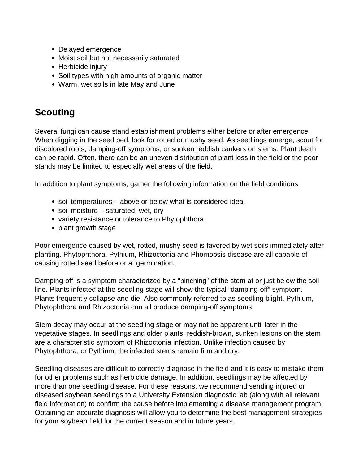- Delayed emergence
- Moist soil but not necessarily saturated
- Herbicide injury
- Soil types with high amounts of organic matter
- Warm, wet soils in late May and June

# **Scouting**

Several fungi can cause stand establishment problems either before or after emergence. When digging in the seed bed, look for rotted or mushy seed. As seedlings emerge, scout for discolored roots, damping-off symptoms, or sunken reddish cankers on stems. Plant death can be rapid. Often, there can be an uneven distribution of plant loss in the field or the poor stands may be limited to especially wet areas of the field.

In addition to plant symptoms, gather the following information on the field conditions:

- soil temperatures above or below what is considered ideal
- soil moisture saturated, wet, dry
- variety resistance or tolerance to Phytophthora
- plant growth stage

Poor emergence caused by wet, rotted, mushy seed is favored by wet soils immediately after planting. Phytophthora, Pythium, Rhizoctonia and Phomopsis disease are all capable of causing rotted seed before or at germination.

Damping-off is a symptom characterized by a "pinching" of the stem at or just below the soil line. Plants infected at the seedling stage will show the typical "damping-off" symptom. Plants frequently collapse and die. Also commonly referred to as seedling blight, Pythium, Phytophthora and Rhizoctonia can all produce damping-off symptoms.

Stem decay may occur at the seedling stage or may not be apparent until later in the vegetative stages. In seedlings and older plants, reddish-brown, sunken lesions on the stem are a characteristic symptom of Rhizoctonia infection. Unlike infection caused by Phytophthora, or Pythium, the infected stems remain firm and dry.

Seedling diseases are difficult to correctly diagnose in the field and it is easy to mistake them for other problems such as herbicide damage. In addition, seedlings may be affected by more than one seedling disease. For these reasons, we recommend sending injured or diseased soybean seedlings to a University Extension diagnostic lab (along with all relevant field information) to confirm the cause before implementing a disease management program. Obtaining an accurate diagnosis will allow you to determine the best management strategies for your soybean field for the current season and in future years.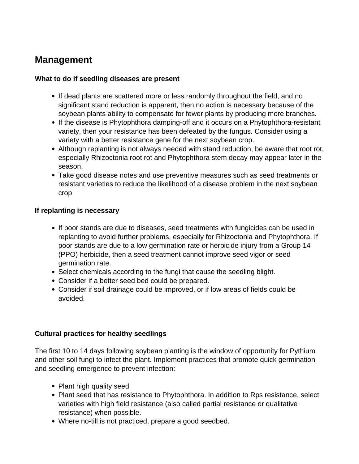# **Management**

#### **What to do if seedling diseases are present**

- If dead plants are scattered more or less randomly throughout the field, and no significant stand reduction is apparent, then no action is necessary because of the soybean plants ability to compensate for fewer plants by producing more branches.
- If the disease is Phytophthora damping-off and it occurs on a Phytophthora-resistant variety, then your resistance has been defeated by the fungus. Consider using a variety with a better resistance gene for the next soybean crop.
- Although replanting is not always needed with stand reduction, be aware that root rot, especially Rhizoctonia root rot and Phytophthora stem decay may appear later in the season.
- Take good disease notes and use preventive measures such as seed treatments or resistant varieties to reduce the likelihood of a disease problem in the next soybean crop.

### **If replanting is necessary**

- If poor stands are due to diseases, seed treatments with fungicides can be used in replanting to avoid further problems, especially for Rhizoctonia and Phytophthora. If poor stands are due to a low germination rate or herbicide injury from a Group 14 (PPO) herbicide, then a seed treatment cannot improve seed vigor or seed germination rate.
- Select chemicals according to the fungi that cause the seedling blight.
- Consider if a better seed bed could be prepared.
- Consider if soil drainage could be improved, or if low areas of fields could be avoided.

### **Cultural practices for healthy seedlings**

The first 10 to 14 days following soybean planting is the window of opportunity for Pythium and other soil fungi to infect the plant. Implement practices that promote quick germination and seedling emergence to prevent infection:

- Plant high quality seed
- Plant seed that has resistance to Phytophthora. In addition to Rps resistance, select varieties with high field resistance (also called partial resistance or qualitative resistance) when possible.
- Where no-till is not practiced, prepare a good seedbed.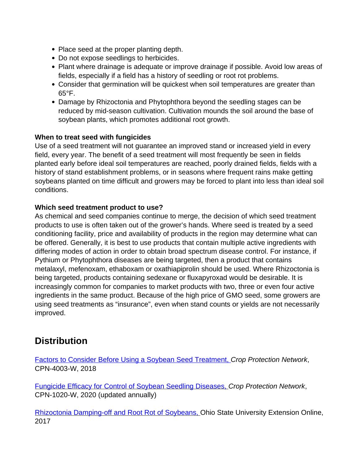- Place seed at the proper planting depth.
- Do not expose seedlings to herbicides.
- Plant where drainage is adequate or improve drainage if possible. Avoid low areas of fields, especially if a field has a history of seedling or root rot problems.
- Consider that germination will be quickest when soil temperatures are greater than 65°F.
- Damage by Rhizoctonia and Phytophthora beyond the seedling stages can be reduced by mid-season cultivation. Cultivation mounds the soil around the base of soybean plants, which promotes additional root growth.

### **When to treat seed with fungicides**

Use of a seed treatment will not guarantee an improved stand or increased yield in every field, every year. The benefit of a seed treatment will most frequently be seen in fields planted early before ideal soil temperatures are reached, poorly drained fields, fields with a history of stand establishment problems, or in seasons where frequent rains make getting soybeans planted on time difficult and growers may be forced to plant into less than ideal soil conditions.

### **Which seed treatment product to use?**

As chemical and seed companies continue to merge, the decision of which seed treatment products to use is often taken out of the grower's hands. Where seed is treated by a seed conditioning facility, price and availability of products in the region may determine what can be offered. Generally, it is best to use products that contain multiple active ingredients with differing modes of action in order to obtain broad spectrum disease control. For instance, if Pythium or Phytophthora diseases are being targeted, then a product that contains metalaxyl, mefenoxam, ethaboxam or oxathiapiprolin should be used. Where Rhizoctonia is being targeted, products containing sedexane or fluxapyroxad would be desirable. It is increasingly common for companies to market products with two, three or even four active ingredients in the same product. Because of the high price of GMO seed, some growers are using seed treatments as "insurance", even when stand counts or yields are not necessarily improved.

# **Distribution**

[Factors to Consider Before Using a Soybean Seed Treatment,](https://crop-protection-network.s3.amazonaws.com/publications/cpn-4003-crop-management-factors-to-consider-before-using-a-soybean-seed-treatment.pdf) Crop Protection Network, CPN-4003-W, 2018

[Fungicide Efficacy for Control of Soybean Seedling Diseases,](https://cropprotectionnetwork.org/resources/publications/fungicide-efficacy-for-control-of-soybean-seedling-diseases) Crop Protection Network, CPN-1020-W, 2020 (updated annually)

[Rhizoctonia Damping-off and Root Rot of Soybeans, O](https://ohioline.osu.edu/factsheet/plpath-soy-1)hio State University Extension Online, 2017